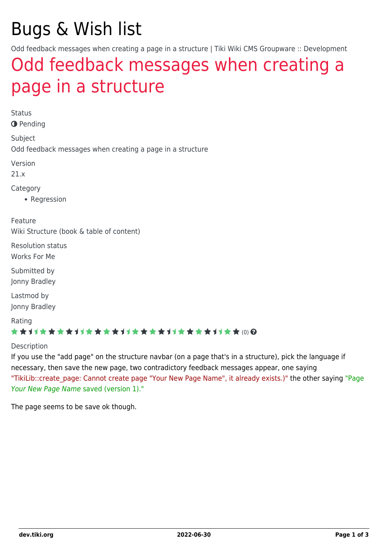# Bugs & Wish list

Odd feedback messages when creating a page in a structure | Tiki Wiki CMS Groupware :: Development

## [Odd feedback messages when creating a](https://dev.tiki.org/item7257-Odd-feedback-messages-when-creating-a-page-in-a-structure) [page in a structure](https://dev.tiki.org/item7257-Odd-feedback-messages-when-creating-a-page-in-a-structure)

Status

**O** Pending

Subject Odd feedback messages when creating a page in a structure

Version

21.x

Category

• Regression

Feature Wiki Structure (book & table of content)

Resolution status Works For Me

Submitted by Jonny Bradley

Lastmod by Jonny Bradley

Rating

#### \*\*\*\*\*\*\*\*\*\*\*\*\*\*\*\*\*\*\*\*\*\*\*\*\*\*\*\*\*\*

**Description** 

If you use the "add page" on the structure navbar (on a page that's in a structure), pick the language if necessary, then save the new page, two contradictory feedback messages appear, one saying "TikiLib::create page: Cannot create page "Your New Page Name", it already exists.)" the other saying "Page Your New Page Name saved (version 1)."

The page seems to be save ok though.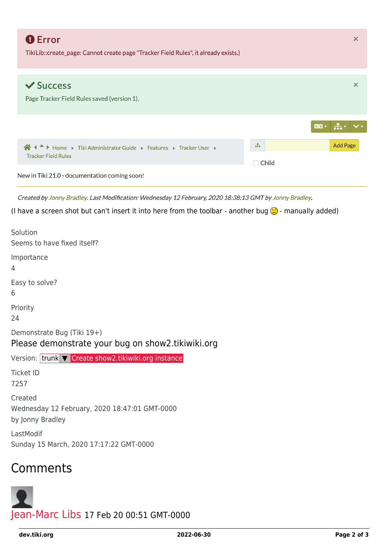| <b>O</b> Error<br>TikiLib::create_page: Cannot create page "Tracker Field Rules", it already exists.) |              | $\times$        |
|-------------------------------------------------------------------------------------------------------|--------------|-----------------|
|                                                                                                       |              |                 |
| $\vee$ Success                                                                                        |              | $\times$        |
|                                                                                                       |              |                 |
| Page Tracker Field Rules saved (version 1).                                                           |              |                 |
|                                                                                                       |              |                 |
|                                                                                                       |              |                 |
|                                                                                                       |              |                 |
|                                                                                                       |              |                 |
| A I A Home » Tiki Administrator Guide » Features » Tracker User »                                     | $\mathbf{H}$ | <b>Add Page</b> |
| <b>Tracker Field Rules</b>                                                                            |              |                 |
|                                                                                                       | $\Box$ Child |                 |
| New in Tiki 21.0 - documentation coming soon!                                                         |              |                 |
|                                                                                                       |              |                 |

Created by Jonny Bradley. Last Modification: Wednesday 12 February, 2020 18:38:13 GMT by Jonny Bradley.

(I have a screen shot but can't insert it into here from the toolbar - another bug  $\bigodot$  - manually added)

| Solution<br>Seems to have fixed itself?                                         |
|---------------------------------------------------------------------------------|
| Importance<br>4                                                                 |
| Easy to solve?<br>6                                                             |
| Priority<br>24                                                                  |
| Demonstrate Bug (Tiki 19+)<br>Please demonstrate your bug on show2.tikiwiki.org |
| Version: trunk V Create show2.tikiwiki.org instance                             |
| <b>Ticket ID</b><br>7257                                                        |
| Created<br>Wednesday 12 February, 2020 18:47:01 GMT-0000<br>by Jonny Bradley    |
| LastModif<br>Sunday 15 March, 2020 17:17:22 GMT-0000                            |
|                                                                                 |

## **Comments**